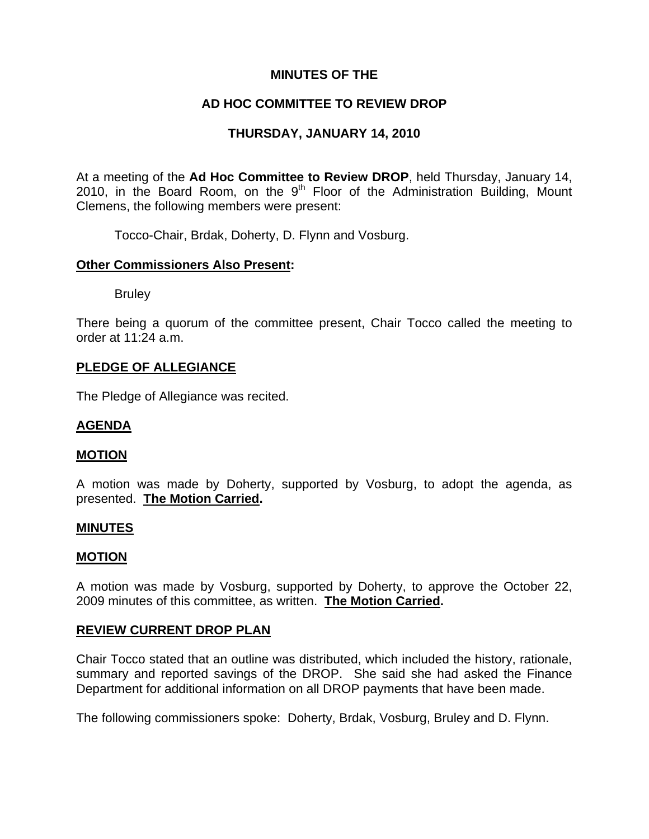# **MINUTES OF THE**

# **AD HOC COMMITTEE TO REVIEW DROP**

# **THURSDAY, JANUARY 14, 2010**

At a meeting of the **Ad Hoc Committee to Review DROP**, held Thursday, January 14, 2010, in the Board Room, on the  $9<sup>th</sup>$  Floor of the Administration Building, Mount Clemens, the following members were present:

Tocco-Chair, Brdak, Doherty, D. Flynn and Vosburg.

## **Other Commissioners Also Present:**

**Bruley** 

There being a quorum of the committee present, Chair Tocco called the meeting to order at 11:24 a.m.

## **PLEDGE OF ALLEGIANCE**

The Pledge of Allegiance was recited.

## **AGENDA**

#### **MOTION**

A motion was made by Doherty, supported by Vosburg, to adopt the agenda, as presented. **The Motion Carried.** 

### **MINUTES**

#### **MOTION**

A motion was made by Vosburg, supported by Doherty, to approve the October 22, 2009 minutes of this committee, as written. **The Motion Carried.** 

#### **REVIEW CURRENT DROP PLAN**

Chair Tocco stated that an outline was distributed, which included the history, rationale, summary and reported savings of the DROP. She said she had asked the Finance Department for additional information on all DROP payments that have been made.

The following commissioners spoke: Doherty, Brdak, Vosburg, Bruley and D. Flynn.